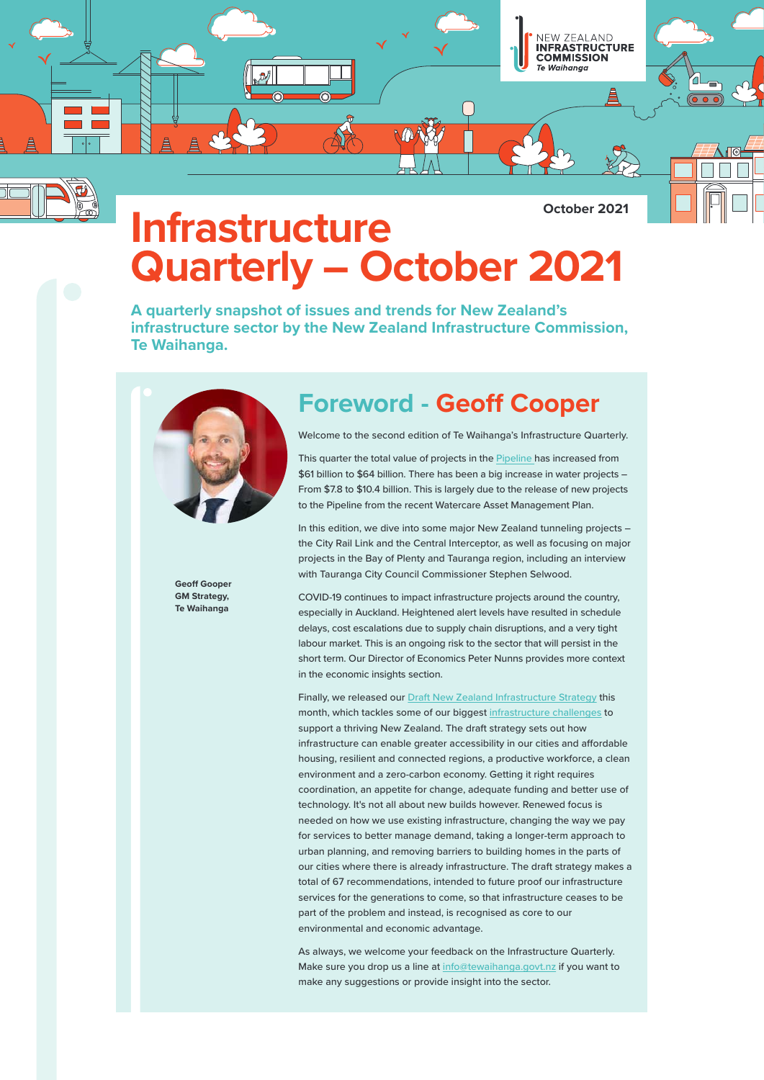

**October 2021**

# **Infrastructure Quarterly – October 2021**

**A quarterly snapshot of issues and trends for New Zealand's infrastructure sector by the New Zealand Infrastructure Commission, Te Waihanga.** 



### **Foreword - Geoff Cooper**

Welcome to the second edition of Te Waihanga's Infrastructure Quarterly.

This quarter the total value of projects in the [Pipeline h](https://www.tewaihanga.govt.nz/projects/pipeline/)as increased from \$61 billion to \$64 billion. There has been a big increase in water projects – From \$7.8 to \$10.4 billion. This is largely due to the release of new projects to the Pipeline from the recent Watercare Asset Management Plan.

In this edition, we dive into some major New Zealand tunneling projects – the City Rail Link and the Central Interceptor, as well as focusing on major projects in the Bay of Plenty and Tauranga region, including an interview with Tauranga City Council Commissioner Stephen Selwood.

Geoff Gooper **GM Strategy, Te Waihanga**

COVID-19 continues to impact infrastructure projects around the country, especially in Auckland. Heightened alert levels have resulted in schedule delays, cost escalations due to supply chain disruptions, and a very tight labour market. This is an ongoing risk to the sector that will persist in the short term. Our Director of Economics Peter Nunns provides more context in the economic insights section.

Finally, we released our [Draft New Zealand Infrastructure Strategy](https://www.tewaihanga.govt.nz/assets/Uploads/211012-Draft-New-Zealand-Infrastructure-Strategy.pdf) this month, which tackles some of our biggest [infrastructure challenges](https://www.tewaihanga.govt.nz/strategy/reports/new-zealands-infrastructure-challenge/) to support a thriving New Zealand. The draft strategy sets out how infrastructure can enable greater accessibility in our cities and affordable housing, resilient and connected regions, a productive workforce, a clean environment and a zero-carbon economy. Getting it right requires coordination, an appetite for change, adequate funding and better use of technology. It's not all about new builds however. Renewed focus is needed on how we use existing infrastructure, changing the way we pay for services to better manage demand, taking a longer-term approach to urban planning, and removing barriers to building homes in the parts of our cities where there is already infrastructure. The draft strategy makes a total of 67 recommendations, intended to future proof our infrastructure services for the generations to come, so that infrastructure ceases to be part of the problem and instead, is recognised as core to our environmental and economic advantage.

As always, we welcome your feedback on the Infrastructure Quarterly. Make sure you drop us a line a[t info@tewaihanga.govt.nz i](mailto:info@tewaihanga.govt.nz)f you want to make any suggestions or provide insight into the sector.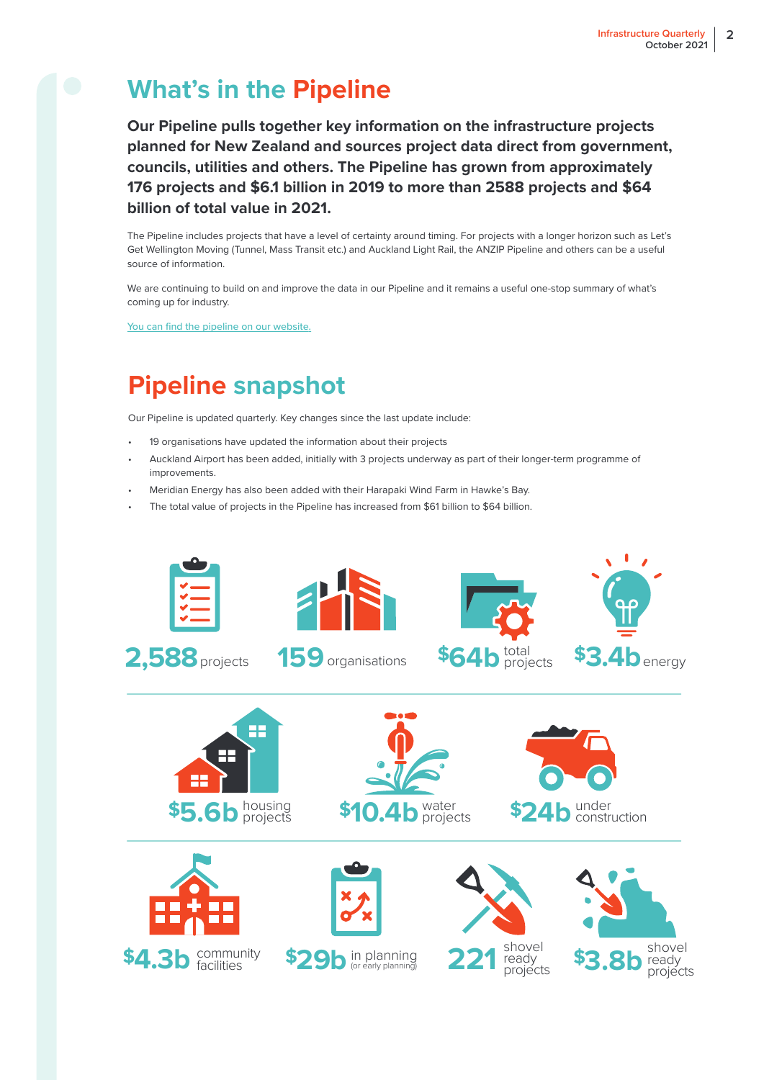## **What's in the Pipeline**

**Our Pipeline pulls together key information on the infrastructure projects planned for New Zealand and sources project data direct from government, councils, utilities and others. The Pipeline has grown from approximately 176 projects and \$6.1 billion in 2019 to more than 2588 projects and \$64 billion of total value in 2021.** 

The Pipeline includes projects that have a level of certainty around timing. For projects with a longer horizon such as Let's Get Wellington Moving (Tunnel, Mass Transit etc.) and Auckland Light Rail, the ANZIP Pipeline and others can be a useful source of information.

We are continuing to build on and improve the data in our Pipeline and it remains a useful one-stop summary of what's coming up for industry.

[You can find the pipeline on our website.](https://www.tewaihanga.govt.nz/projects/pipeline/)

## **Pipeline snapshot**

Our Pipeline is updated quarterly. Key changes since the last update include:

- 19 organisations have updated the information about their projects
- Auckland Airport has been added, initially with 3 projects underway as part of their longer-term programme of improvements.
- Meridian Energy has also been added with their Harapaki Wind Farm in Hawke's Bay.
- The total value of projects in the Pipeline has increased from \$61 billion to \$64 billion.

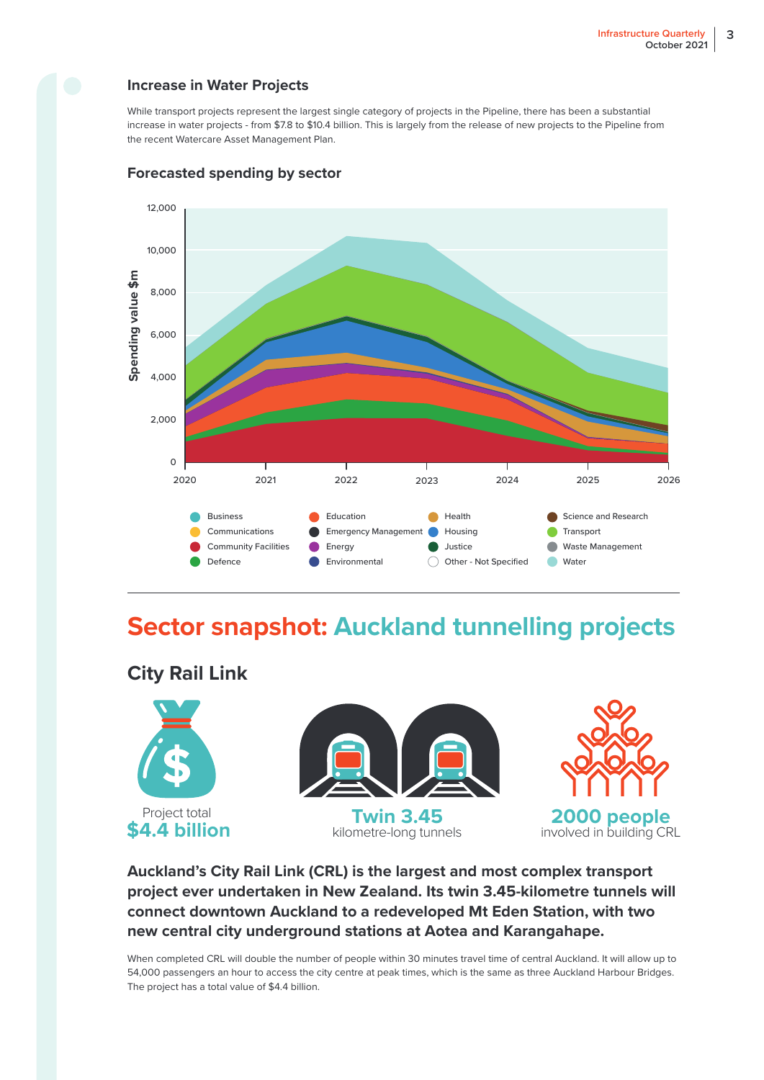#### **Increase in Water Projects**

While transport projects represent the largest single category of projects in the Pipeline, there has been a substantial increase in water projects - from \$7.8 to \$10.4 billion. This is largely from the release of new projects to the Pipeline from the recent Watercare Asset Management Plan.



#### **Forecasted spending by sector**

## **Sector snapshot: Auckland tunnelling projects**

### **City Rail Link**



### **Auckland's City Rail Link (CRL) is the largest and most complex transport project ever undertaken in New Zealand. Its twin 3.45-kilometre tunnels will connect downtown Auckland to a redeveloped Mt Eden Station, with two new central city underground stations at Aotea and Karangahape.**

When completed CRL will double the number of people within 30 minutes travel time of central Auckland. It will allow up to 54,000 passengers an hour to access the city centre at peak times, which is the same as three Auckland Harbour Bridges. The project has a total value of \$4.4 billion.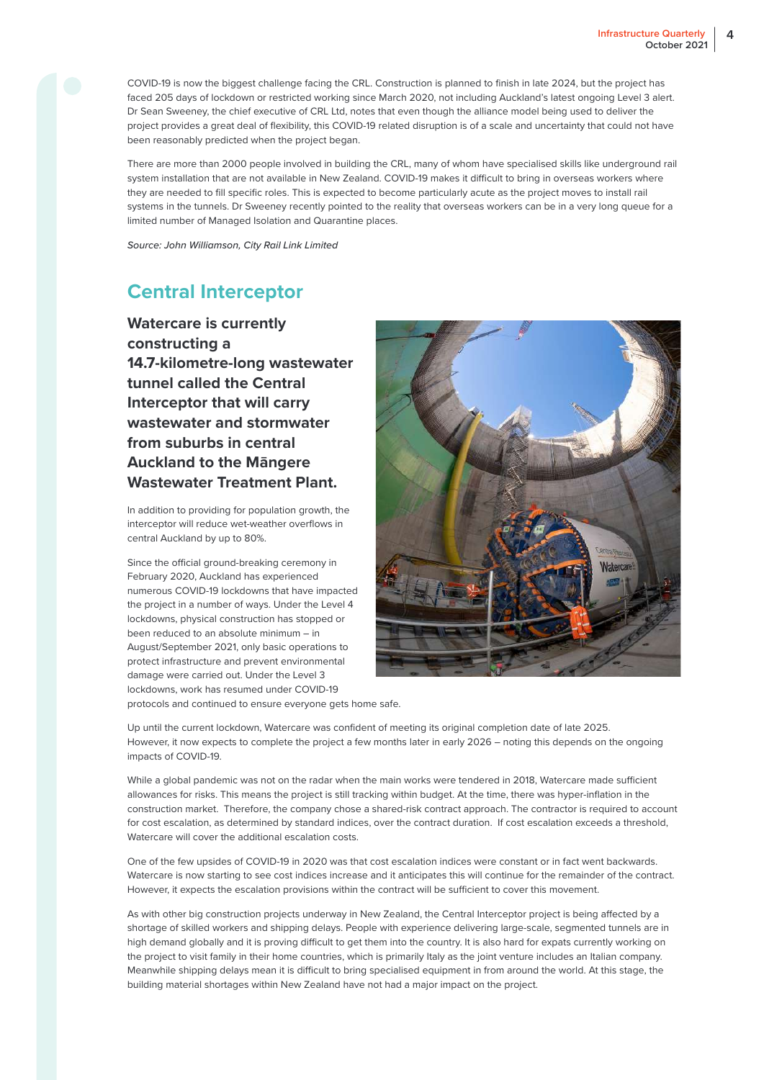COVID-19 is now the biggest challenge facing the CRL. Construction is planned to finish in late 2024, but the project has faced 205 days of lockdown or restricted working since March 2020, not including Auckland's latest ongoing Level 3 alert. Dr Sean Sweeney, the chief executive of CRL Ltd, notes that even though the alliance model being used to deliver the project provides a great deal of flexibility, this COVID-19 related disruption is of a scale and uncertainty that could not have been reasonably predicted when the project began.

There are more than 2000 people involved in building the CRL, many of whom have specialised skills like underground rail system installation that are not available in New Zealand. COVID-19 makes it difficult to bring in overseas workers where they are needed to fill specific roles. This is expected to become particularly acute as the project moves to install rail systems in the tunnels. Dr Sweeney recently pointed to the reality that overseas workers can be in a very long queue for a limited number of Managed Isolation and Quarantine places.

*Source: John Williamson, City Rail Link Limited*

### **Central Interceptor**

**Watercare is currently constructing a 14.7-kilometre-long wastewater tunnel called the Central Interceptor that will carry wastewater and stormwater from suburbs in central Auckland to the Māngere Wastewater Treatment Plant.**

In addition to providing for population growth, the interceptor will reduce wet-weather overflows in central Auckland by up to 80%.

Since the official ground-breaking ceremony in February 2020, Auckland has experienced numerous COVID-19 lockdowns that have impacted the project in a number of ways. Under the Level 4 lockdowns, physical construction has stopped or been reduced to an absolute minimum – in August/September 2021, only basic operations to protect infrastructure and prevent environmental damage were carried out. Under the Level 3 lockdowns, work has resumed under COVID-19 protocols and continued to ensure everyone gets home safe.



Up until the current lockdown, Watercare was confident of meeting its original completion date of late 2025. However, it now expects to complete the project a few months later in early 2026 – noting this depends on the ongoing impacts of COVID-19.

While a global pandemic was not on the radar when the main works were tendered in 2018. Watercare made sufficient allowances for risks. This means the project is still tracking within budget. At the time, there was hyper-inflation in the construction market. Therefore, the company chose a shared-risk contract approach. The contractor is required to account for cost escalation, as determined by standard indices, over the contract duration. If cost escalation exceeds a threshold, Watercare will cover the additional escalation costs.

One of the few upsides of COVID-19 in 2020 was that cost escalation indices were constant or in fact went backwards. Watercare is now starting to see cost indices increase and it anticipates this will continue for the remainder of the contract. However, it expects the escalation provisions within the contract will be sufficient to cover this movement.

As with other big construction projects underway in New Zealand, the Central Interceptor project is being affected by a shortage of skilled workers and shipping delays. People with experience delivering large-scale, segmented tunnels are in high demand globally and it is proving difficult to get them into the country. It is also hard for expats currently working on the project to visit family in their home countries, which is primarily Italy as the joint venture includes an Italian company. Meanwhile shipping delays mean it is difficult to bring specialised equipment in from around the world. At this stage, the building material shortages within New Zealand have not had a major impact on the project.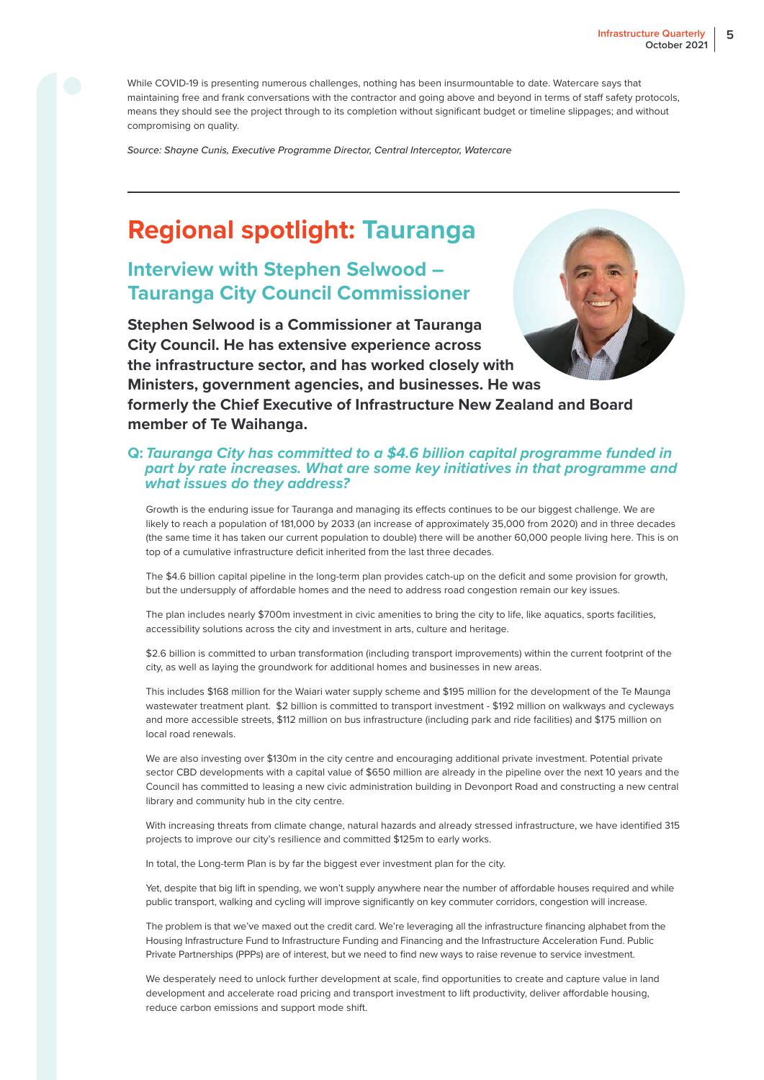While COVID-19 is presenting numerous challenges, nothing has been insurmountable to date. Watercare says that maintaining free and frank conversations with the contractor and going above and beyond in terms of staff safety protocols, means they should see the project through to its completion without significant budget or timeline slippages; and without compromising on quality.

*Source: Shayne Cunis, Executive Programme Director, Central Interceptor, Watercare*

## **Regional spotlight: Tauranga**

### **Interview with Stephen Selwood – Tauranga City Council Commissioner**

**Stephen Selwood is a Commissioner at Tauranga City Council. He has extensive experience across the infrastructure sector, and has worked closely with** 



**Ministers, government agencies, and businesses. He was formerly the Chief Executive of Infrastructure New Zealand and Board member of Te Waihanga.**

#### **Q:** *Tauranga City has committed to a \$4.6 billion capital programme funded in part by rate increases. What are some key initiatives in that programme and what issues do they address?*

Growth is the enduring issue for Tauranga and managing its effects continues to be our biggest challenge. We are likely to reach a population of 181,000 by 2033 (an increase of approximately 35,000 from 2020) and in three decades (the same time it has taken our current population to double) there will be another 60,000 people living here. This is on top of a cumulative infrastructure deficit inherited from the last three decades.

The \$4.6 billion capital pipeline in the long-term plan provides catch-up on the deficit and some provision for growth, but the undersupply of affordable homes and the need to address road congestion remain our key issues.

The plan includes nearly \$700m investment in civic amenities to bring the city to life, like aquatics, sports facilities, accessibility solutions across the city and investment in arts, culture and heritage.

\$2.6 billion is committed to urban transformation (including transport improvements) within the current footprint of the city, as well as laying the groundwork for additional homes and businesses in new areas.

This includes \$168 million for the Waiari water supply scheme and \$195 million for the development of the Te Maunga wastewater treatment plant. \$2 billion is committed to transport investment - \$192 million on walkways and cycleways and more accessible streets, \$112 million on bus infrastructure (including park and ride facilities) and \$175 million on local road renewals.

We are also investing over \$130m in the city centre and encouraging additional private investment. Potential private sector CBD developments with a capital value of \$650 million are already in the pipeline over the next 10 years and the Council has committed to leasing a new civic administration building in Devonport Road and constructing a new central library and community hub in the city centre.

With increasing threats from climate change, natural hazards and already stressed infrastructure, we have identified 315 projects to improve our city's resilience and committed \$125m to early works.

In total, the Long-term Plan is by far the biggest ever investment plan for the city.

Yet, despite that big lift in spending, we won't supply anywhere near the number of affordable houses required and while public transport, walking and cycling will improve significantly on key commuter corridors, congestion will increase.

The problem is that we've maxed out the credit card. We're leveraging all the infrastructure financing alphabet from the Housing Infrastructure Fund to Infrastructure Funding and Financing and the Infrastructure Acceleration Fund. Public Private Partnerships (PPPs) are of interest, but we need to find new ways to raise revenue to service investment.

We desperately need to unlock further development at scale, find opportunities to create and capture value in land development and accelerate road pricing and transport investment to lift productivity, deliver affordable housing, reduce carbon emissions and support mode shift.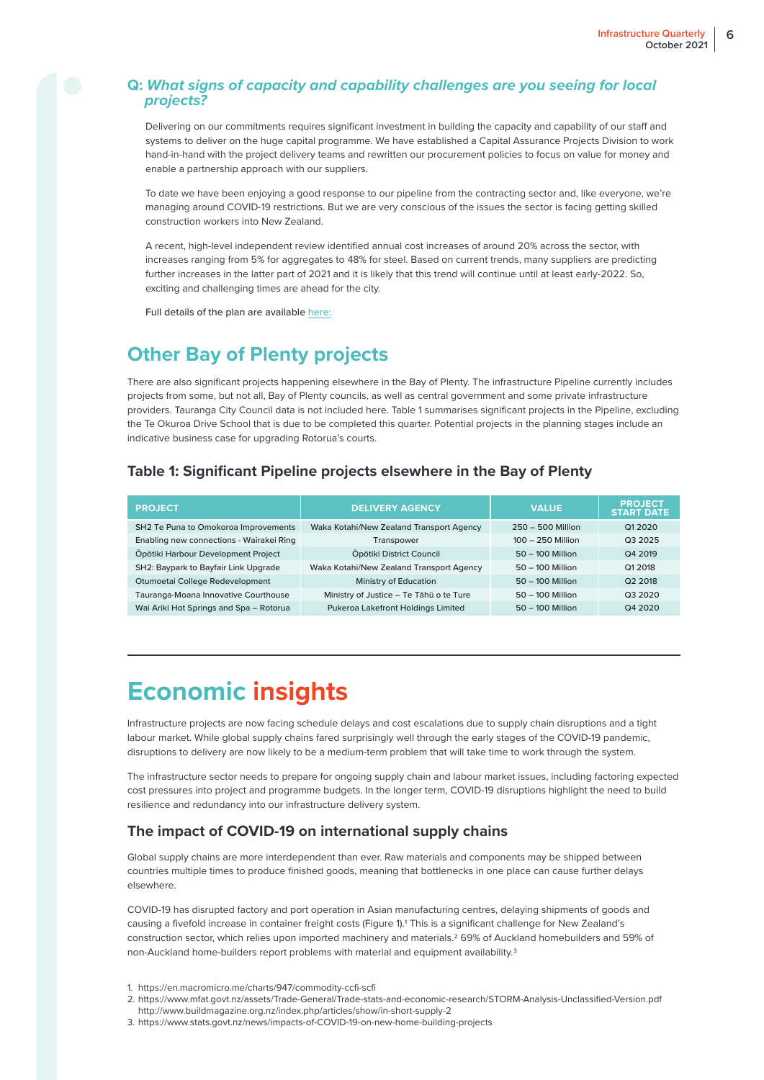#### **Q:** *What signs of capacity and capability challenges are you seeing for local projects?*

Delivering on our commitments requires significant investment in building the capacity and capability of our staff and systems to deliver on the huge capital programme. We have established a Capital Assurance Projects Division to work hand-in-hand with the project delivery teams and rewritten our procurement policies to focus on value for money and enable a partnership approach with our suppliers.

To date we have been enjoying a good response to our pipeline from the contracting sector and, like everyone, we're managing around COVID-19 restrictions. But we are very conscious of the issues the sector is facing getting skilled construction workers into New Zealand.

A recent, high-level independent review identified annual cost increases of around 20% across the sector, with increases ranging from 5% for aggregates to 48% for steel. Based on current trends, many suppliers are predicting further increases in the latter part of 2021 and it is likely that this trend will continue until at least early-2022. So, exciting and challenging times are ahead for the city.

Full details of the plan are available [here:](https://www.tauranga.govt.nz/council/council-documents/long-term-plans/long-term-plan-2021-31)

### **Other Bay of Plenty projects**

There are also significant projects happening elsewhere in the Bay of Plenty. The infrastructure Pipeline currently includes projects from some, but not all, Bay of Plenty councils, as well as central government and some private infrastructure providers. Tauranga City Council data is not included here. Table 1 summarises significant projects in the Pipeline, excluding the Te Okuroa Drive School that is due to be completed this quarter. Potential projects in the planning stages include an indicative business case for upgrading Rotorua's courts.

#### **Table 1: Significant Pipeline projects elsewhere in the Bay of Plenty**

| <b>PROJECT</b>                           | <b>DELIVERY AGENCY</b>                   | <b>VALUE</b>        | <b>PROJECT</b><br><b>START DATE</b> |
|------------------------------------------|------------------------------------------|---------------------|-------------------------------------|
| SH2 Te Puna to Omokoroa Improvements     | Waka Kotahi/New Zealand Transport Agency | $250 - 500$ Million | Q1 20 20                            |
| Enabling new connections - Wairakei Ring | Transpower                               | 100 - 250 Million   | Q3 2025                             |
| Öpötiki Harbour Development Project      | Öpötiki District Council                 | $50 - 100$ Million  | Q4 2019                             |
| SH2: Baypark to Bayfair Link Upgrade     | Waka Kotahi/New Zealand Transport Agency | $50 - 100$ Million  | Q1 2018                             |
| Otumoetai College Redevelopment          | Ministry of Education                    | $50 - 100$ Million  | Q2 2018                             |
| Tauranga-Moana Innovative Courthouse     | Ministry of Justice - Te Tāhū o te Ture  | $50 - 100$ Million  | Q3 2020                             |
| Wai Ariki Hot Springs and Spa - Rotorua  | Pukeroa Lakefront Holdings Limited       | $50 - 100$ Million  | Q4 2020                             |

## **Economic insights**

Infrastructure projects are now facing schedule delays and cost escalations due to supply chain disruptions and a tight labour market. While global supply chains fared surprisingly well through the early stages of the COVID-19 pandemic, disruptions to delivery are now likely to be a medium-term problem that will take time to work through the system.

The infrastructure sector needs to prepare for ongoing supply chain and labour market issues, including factoring expected cost pressures into project and programme budgets. In the longer term, COVID-19 disruptions highlight the need to build resilience and redundancy into our infrastructure delivery system.

#### **The impact of COVID-19 on international supply chains**

Global supply chains are more interdependent than ever. Raw materials and components may be shipped between countries multiple times to produce finished goods, meaning that bottlenecks in one place can cause further delays elsewhere.

COVID-19 has disrupted factory and port operation in Asian manufacturing centres, delaying shipments of goods and causing a fivefold increase in container freight costs (Figure 1).1 This is a significant challenge for New Zealand's construction sector, which relies upon imported machinery and materials.2 69% of Auckland homebuilders and 59% of non-Auckland home-builders report problems with material and equipment availability.<sup>3</sup>

- 1. https://en.macromicro.me/charts/947/commodity-ccfi-scfi
- 2. https://www.mfat.govt.nz/assets/Trade-General/Trade-stats-and-economic-research/STORM-Analysis-Unclassified-Version.pdf http://www.buildmagazine.org.nz/index.php/articles/show/in-short-supply-2
- 3. https://www.stats.govt.nz/news/impacts-of-COVID-19-on-new-home-building-projects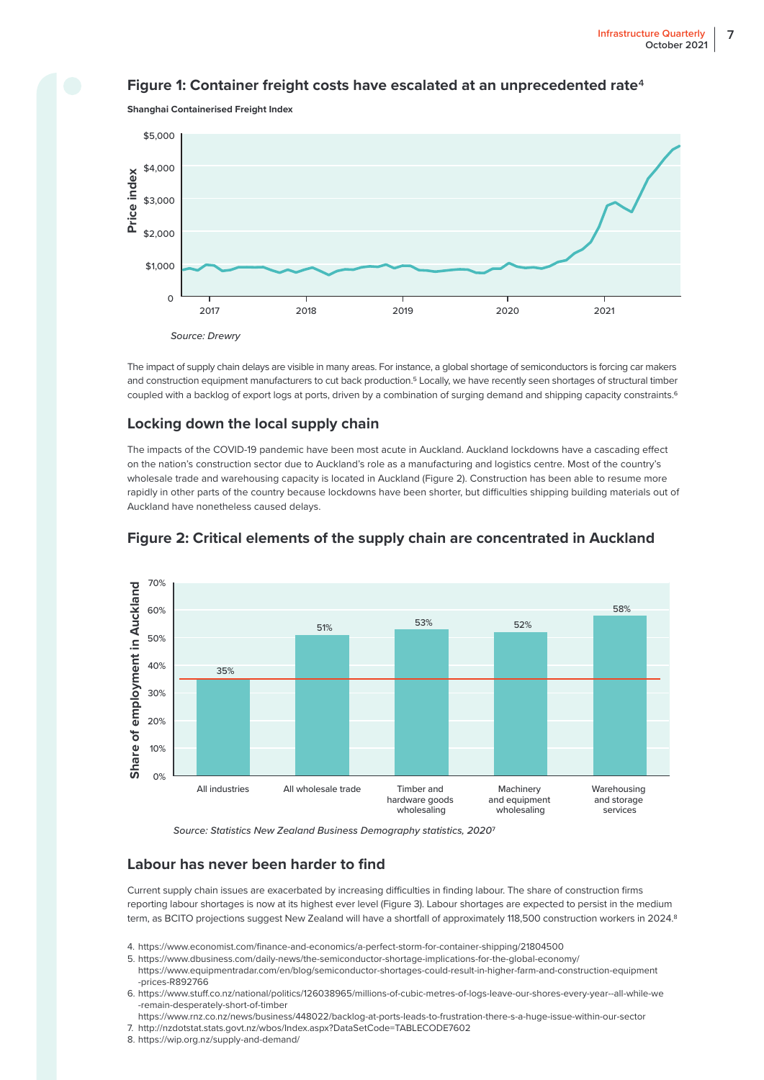#### **Figure 1: Container freight costs have escalated at an unprecedented rate**4





The impact of supply chain delays are visible in many areas. For instance, a global shortage of semiconductors is forcing car makers and construction equipment manufacturers to cut back production.5 Locally, we have recently seen shortages of structural timber coupled with a backlog of export logs at ports, driven by a combination of surging demand and shipping capacity constraints.6

#### **Locking down the local supply chain**

The impacts of the COVID-19 pandemic have been most acute in Auckland. Auckland lockdowns have a cascading effect on the nation's construction sector due to Auckland's role as a manufacturing and logistics centre. Most of the country's wholesale trade and warehousing capacity is located in Auckland (Figure 2). Construction has been able to resume more rapidly in other parts of the country because lockdowns have been shorter, but difficulties shipping building materials out of Auckland have nonetheless caused delays.



#### **Figure 2: Critical elements of the supply chain are concentrated in Auckland**

*Source: Statistics New Zealand Business Demography statistics, 2020*7

#### **Labour has never been harder to find**

Current supply chain issues are exacerbated by increasing difficulties in finding labour. The share of construction firms reporting labour shortages is now at its highest ever level (Figure 3). Labour shortages are expected to persist in the medium term, as BCITO projections suggest New Zealand will have a shortfall of approximately 118,500 construction workers in 2024.8

- 4. https://www.economist.com/finance-and-economics/a-perfect-storm-for-container-shipping/21804500
- 5. https://www.dbusiness.com/daily-news/the-semiconductor-shortage-implications-for-the-global-economy/ https://www.equipmentradar.com/en/blog/semiconductor-shortages-could-result-in-higher-farm-and-construction-equipment
- -prices-R892766 6. https://www.stuff.co.nz/national/politics/126038965/millions-of-cubic-metres-of-logs-leave-our-shores-every-year--all-while-we
- -remain-desperately-short-of-timber
- https://www.rnz.co.nz/news/business/448022/backlog-at-ports-leads-to-frustration-there-s-a-huge-issue-within-our-sector 7. http://nzdotstat.stats.govt.nz/wbos/Index.aspx?DataSetCode=TABLECODE7602
- 8. https://wip.org.nz/supply-and-demand/